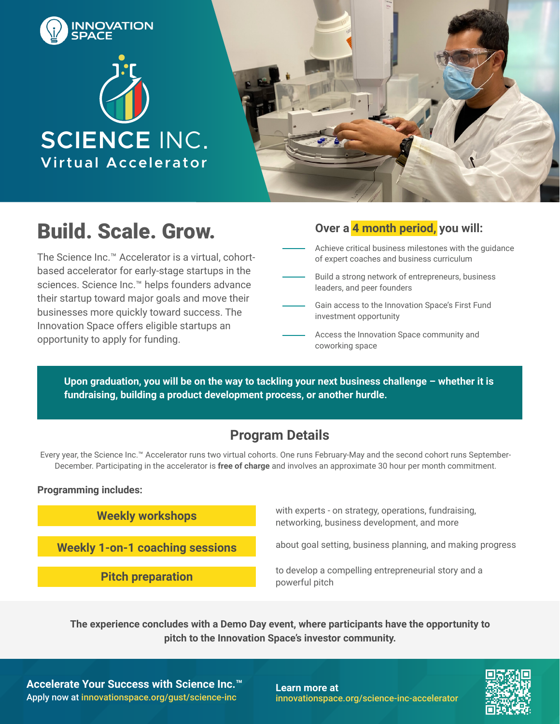





# **Build. Scale. Grow.**

The Science Inc.™ Accelerator is a virtual, cohortbased accelerator for early-stage startups in the sciences. Science Inc.™ helps founders advance their startup toward major goals and move their businesses more quickly toward success. The Innovation Space offers eligible startups an opportunity to apply for funding.

|  |  |  | Over a <mark>4 month period,</mark> you will: |  |  |
|--|--|--|-----------------------------------------------|--|--|
|--|--|--|-----------------------------------------------|--|--|

- Achieve critical business milestones with the guidance of expert coaches and business curriculum
- Build a strong network of entrepreneurs, business leaders, and peer founders
- Gain access to the Innovation Space's First Fund investment opportunity
- Access the Innovation Space community and coworking space

Upon graduation, you will be on the way to tackling your next business challenge - whether it is **fundraising, building a product development process, or another hurdle.**

### **Program Details**

Every year, the Science Inc.™ Accelerator runs two virtual cohorts. One runs February-May and the second cohort runs September-December. Participating in the accelerator is **free of charge** and involves an approximate 30 hour per month commitment.

#### **Programming includes:**

**Weekly workshops**

**Weekly 1-on-1 coaching sessions**

**Pitch preparation**

with experts - on strategy, operations, fundraising, networking, business development, and more

about goal setting, business planning, and making progress

to develop a compelling entrepreneurial story and a powerful pitch

**The experience concludes with a Demo Day event, where participants have the opportunity to pitch to the Innovation Space's investor community.**

**Accelerate Your Success with Science Inc.™** Apply now at [innovationspace.org/gust/science-inc](http://innovationspace.org/gust/science-inc)

**Learn more at** [innovationspace.org/s](http://innovationspace.org/science-inc)cience-inc-accelerator